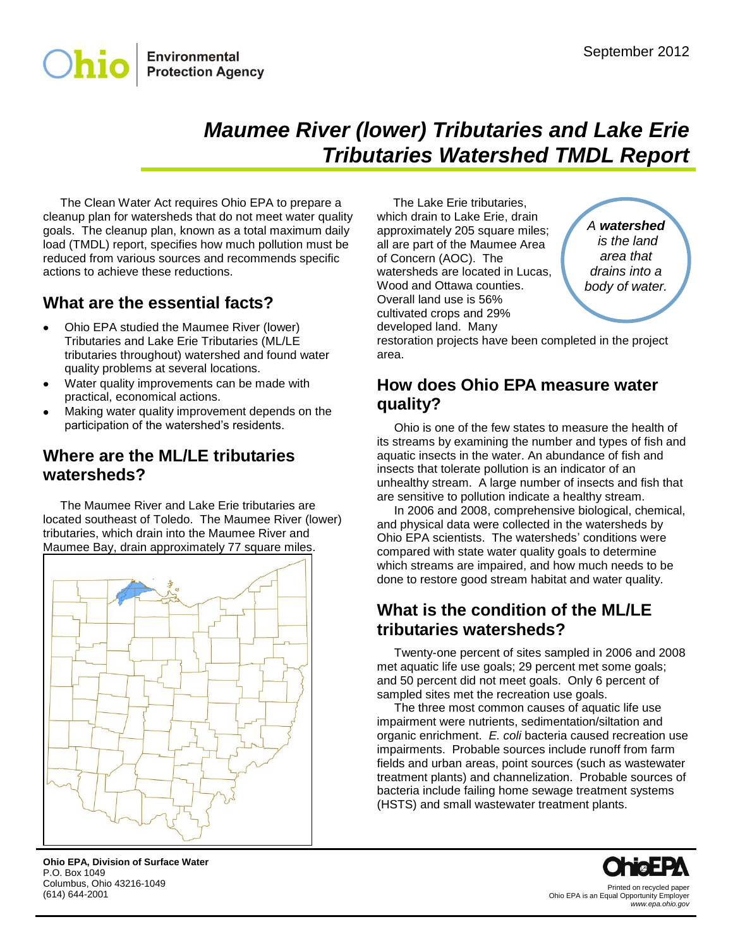

# *Maumee River (lower) Tributaries and Lake Erie Tributaries Watershed TMDL Report*

The Clean Water Act requires Ohio EPA to prepare a cleanup plan for watersheds that do not meet water quality goals. The cleanup plan, known as a total maximum daily load (TMDL) report, specifies how much pollution must be reduced from various sources and recommends specific actions to achieve these reductions.

## **What are the essential facts?**

- Ohio EPA studied the Maumee River (lower) Tributaries and Lake Erie Tributaries (ML/LE tributaries throughout) watershed and found water quality problems at several locations.
- Water quality improvements can be made with practical, economical actions.
- Making water quality improvement depends on the participation of the watershed's residents.

### **Where are the ML/LE tributaries watersheds?**

The Maumee River and Lake Erie tributaries are located southeast of Toledo. The Maumee River (lower) tributaries, which drain into the Maumee River and Maumee Bay, drain approximately 77 square miles.



**Ohio EPA, Division of Surface Water** P.O. Box 1049 Columbus, Ohio 43216-1049 (614) 644-2001

The Lake Erie tributaries, which drain to Lake Erie, drain approximately 205 square miles; all are part of the Maumee Area of Concern (AOC). The watersheds are located in Lucas, Wood and Ottawa counties. Overall land use is 56% cultivated crops and 29% developed land. Many

*A watershed is the land area that drains into a body of water.*

restoration projects have been completed in the project area.

## **How does Ohio EPA measure water quality?**

Ohio is one of the few states to measure the health of its streams by examining the number and types of fish and aquatic insects in the water. An abundance of fish and insects that tolerate pollution is an indicator of an unhealthy stream. A large number of insects and fish that are sensitive to pollution indicate a healthy stream.

In 2006 and 2008, comprehensive biological, chemical, and physical data were collected in the watersheds by Ohio EPA scientists. The watersheds' conditions were compared with state water quality goals to determine which streams are impaired, and how much needs to be done to restore good stream habitat and water quality.

## **What is the condition of the ML/LE tributaries watersheds?**

Twenty-one percent of sites sampled in 2006 and 2008 met aquatic life use goals; 29 percent met some goals; and 50 percent did not meet goals. Only 6 percent of sampled sites met the recreation use goals.

The three most common causes of aquatic life use impairment were nutrients, sedimentation/siltation and organic enrichment. *E. coli* bacteria caused recreation use impairments. Probable sources include runoff from farm fields and urban areas, point sources (such as wastewater treatment plants) and channelization. Probable sources of bacteria include failing home sewage treatment systems (HSTS) and small wastewater treatment plants.



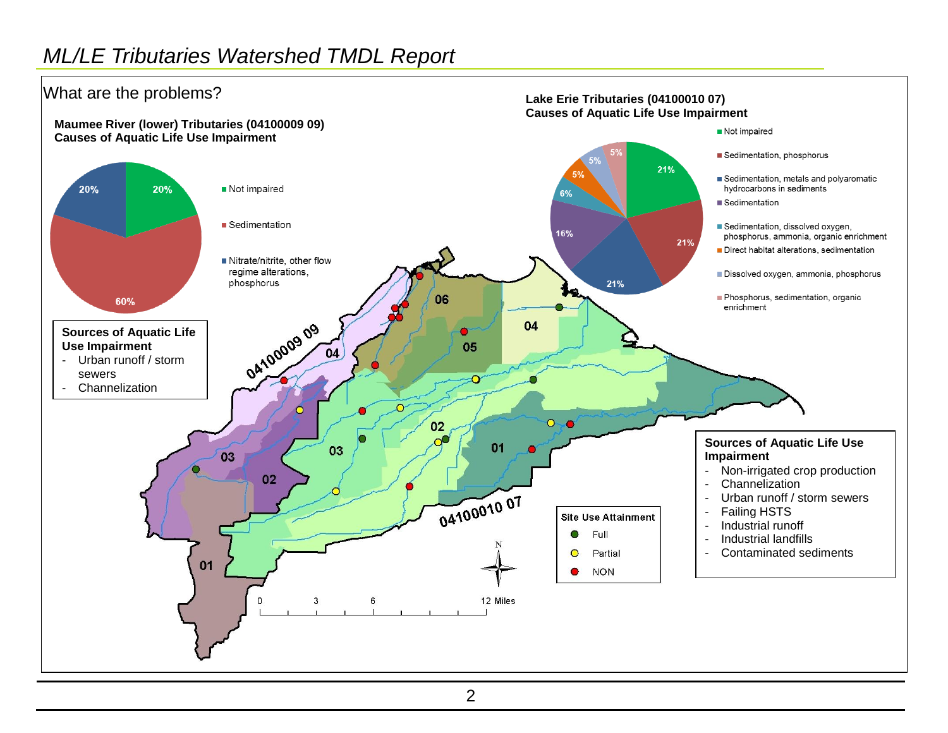## *ML/LE Tributaries Watershed TMDL Report*

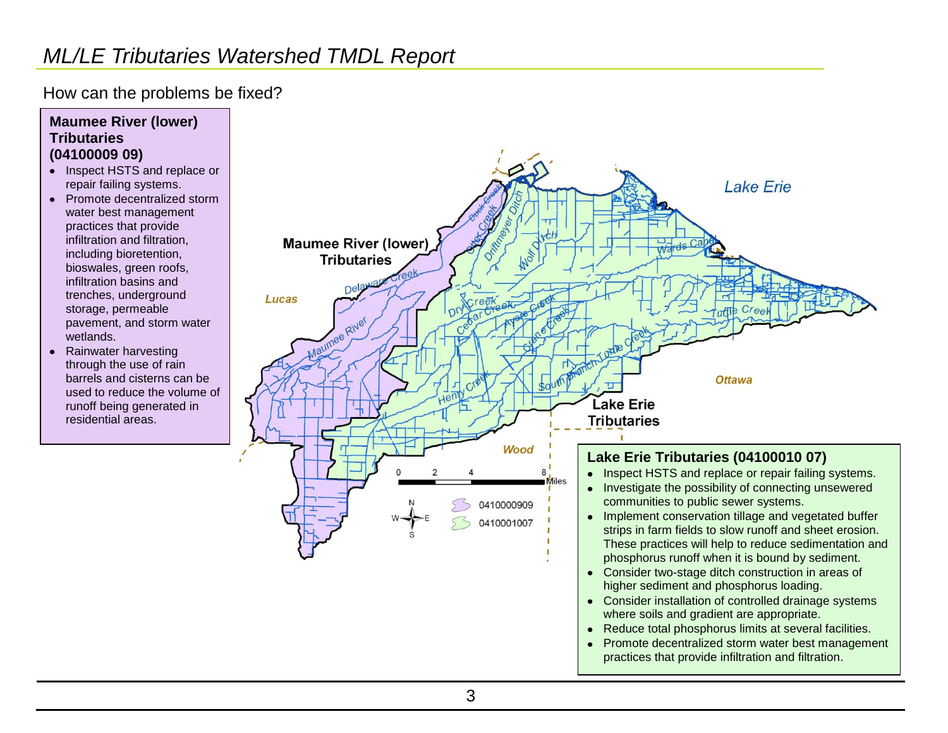## *ML/LE Tributaries Watershed TMDL Report*

How can the problems be fixed?

#### **Maumee River (lower) Tributaries (04100009 09)**

- Inspect HSTS and replace or repair failing systems.
- Promote decentralized storm water best management practices that provide infiltration and filtration, including bioretention, bioswales, green roofs, infiltration basins and trenches, underground storage, permeable pavement, and storm water wetlands.
- Rainwater harvesting through the use of rain barrels and cisterns can be used to reduce the volume of runoff being generated in residential areas.